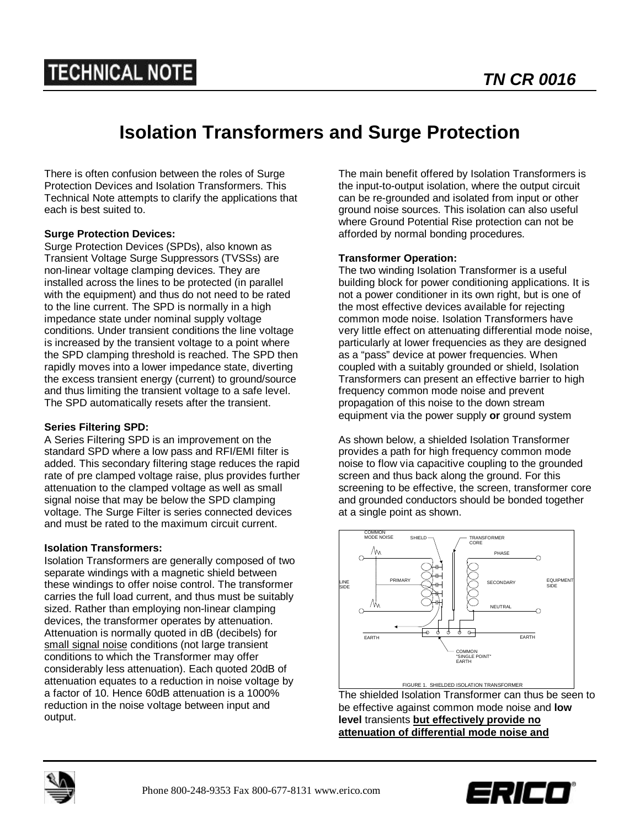# **TECHNICAL NOTE**

## **Isolation Transformers and Surge Protection**

There is often confusion between the roles of Surge Protection Devices and Isolation Transformers. This Technical Note attempts to clarify the applications that each is best suited to.

### **Surge Protection Devices:**

Surge Protection Devices (SPDs), also known as Transient Voltage Surge Suppressors (TVSSs) are non-linear voltage clamping devices. They are installed across the lines to be protected (in parallel with the equipment) and thus do not need to be rated to the line current. The SPD is normally in a high impedance state under nominal supply voltage conditions. Under transient conditions the line voltage is increased by the transient voltage to a point where the SPD clamping threshold is reached. The SPD then rapidly moves into a lower impedance state, diverting the excess transient energy (current) to ground/source and thus limiting the transient voltage to a safe level. The SPD automatically resets after the transient.

### **Series Filtering SPD:**

A Series Filtering SPD is an improvement on the standard SPD where a low pass and RFI/EMI filter is added. This secondary filtering stage reduces the rapid rate of pre clamped voltage raise, plus provides further attenuation to the clamped voltage as well as small signal noise that may be below the SPD clamping voltage. The Surge Filter is series connected devices and must be rated to the maximum circuit current.

#### **Isolation Transformers:**

Isolation Transformers are generally composed of two separate windings with a magnetic shield between these windings to offer noise control. The transformer carries the full load current, and thus must be suitably sized. Rather than employing non-linear clamping devices, the transformer operates by attenuation. Attenuation is normally quoted in dB (decibels) for small signal noise conditions (not large transient conditions to which the Transformer may offer considerably less attenuation). Each quoted 20dB of attenuation equates to a reduction in noise voltage by a factor of 10. Hence 60dB attenuation is a 1000% reduction in the noise voltage between input and output.

The main benefit offered by Isolation Transformers is the input-to-output isolation, where the output circuit can be re-grounded and isolated from input or other ground noise sources. This isolation can also useful where Ground Potential Rise protection can not be afforded by normal bonding procedures.

#### **Transformer Operation:**

The two winding Isolation Transformer is a useful building block for power conditioning applications. It is not a power conditioner in its own right, but is one of the most effective devices available for rejecting common mode noise. Isolation Transformers have very little effect on attenuating differential mode noise, particularly at lower frequencies as they are designed as a "pass" device at power frequencies. When coupled with a suitably grounded or shield, Isolation Transformers can present an effective barrier to high frequency common mode noise and prevent propagation of this noise to the down stream equipment via the power supply **or** ground system

As shown below, a shielded Isolation Transformer provides a path for high frequency common mode noise to flow via capacitive coupling to the grounded screen and thus back along the ground. For this screening to be effective, the screen, transformer core and grounded conductors should be bonded together at a single point as shown.



The shielded Isolation Transformer can thus be seen to be effective against common mode noise and **low level** transients **but effectively provide no attenuation of differential mode noise and**